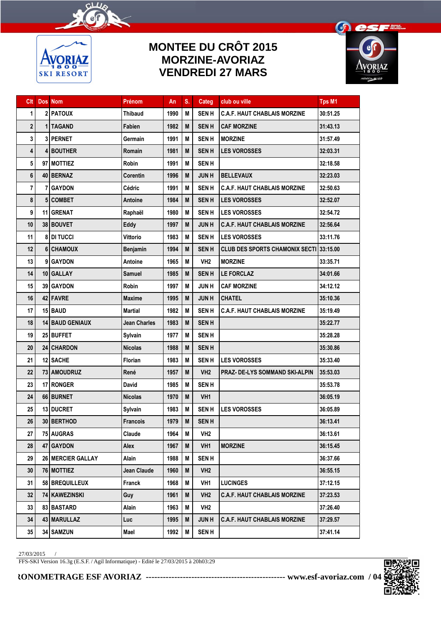

## **MONTEE DU CRÔT 2015 MORZINE-AVORIAZ VENDREDI 27 MARS**



| Clt                     |   | <b>Dos</b> Nom         | Prénom              | An   | S. | Categ           | club ou ville                           | <b>Tps M1</b> |
|-------------------------|---|------------------------|---------------------|------|----|-----------------|-----------------------------------------|---------------|
| 1                       |   | 2 PATOUX               | <b>Thibaud</b>      | 1990 | M  | <b>SENH</b>     | <b>C.A.F. HAUT CHABLAIS MORZINE</b>     | 30:51.25      |
| $\overline{\mathbf{c}}$ |   | 1   TAGAND             | Fabien              | 1982 | M  | <b>SENH</b>     | <b>CAF MORZINE</b>                      | 31:43.13      |
| 3                       |   | <b>3 PERNET</b>        | Germain             | 1991 | М  | <b>SENH</b>     | <b>MORZINE</b>                          | 31:57.49      |
| 4                       |   | 4 BOUTHER              | Romain              | 1981 | M  | <b>SENH</b>     | <b>LES VOROSSES</b>                     | 32:03.31      |
| 5                       |   | 97 MOTTIEZ             | <b>Robin</b>        | 1991 | M  | <b>SENH</b>     |                                         | 32:18.58      |
| 6                       |   | 40 BERNAZ              | Corentin            | 1996 | M  | <b>JUNH</b>     | <b>BELLEVAUX</b>                        | 32:23.03      |
| 7                       | 7 | <b>GAYDON</b>          | Cédric              | 1991 | M  | <b>SENH</b>     | <b>C.A.F. HAUT CHABLAIS MORZINE</b>     | 32:50.63      |
| 8                       |   | 5 COMBET               | Antoine             | 1984 | M  | <b>SENH</b>     | <b>LES VOROSSES</b>                     | 32:52.07      |
| 9                       |   | 11 GRENAT              | Raphaël             | 1980 | М  | <b>SENH</b>     | <b>LES VOROSSES</b>                     | 32:54.72      |
| 10                      |   | 38 BOUVET              | Eddy                | 1997 | M  | <b>JUNH</b>     | <b>C.A.F. HAUT CHABLAIS MORZINE</b>     | 32:56.64      |
| 11                      |   | <b>8 DI TUCCI</b>      | <b>Vittorio</b>     | 1983 | М  | <b>SENH</b>     | <b>LES VOROSSES</b>                     | 33:11.76      |
| 12                      |   | 6 CHAMOUX              | Benjamin            | 1994 | M  | <b>SENH</b>     | CLUB DES SPORTS CHAMONIX SECTI 33:15.00 |               |
| 13                      |   | 9 GAYDON               | Antoine             | 1965 | M  | VH <sub>2</sub> | <b>MORZINE</b>                          | 33:35.71      |
| 14                      |   | 10 GALLAY              | Samuel              | 1985 | M  | <b>SENH</b>     | <b>LE FORCLAZ</b>                       | 34:01.66      |
| 15                      |   | <b>39 GAYDON</b>       | <b>Robin</b>        | 1997 | М  | <b>JUNH</b>     | <b>CAF MORZINE</b>                      | 34:12.12      |
| 16                      |   | 42 FAVRE               | <b>Maxime</b>       | 1995 | M  | <b>JUNH</b>     | <b>CHATEL</b>                           | 35:10.36      |
| 17                      |   | $15$ BAUD              | <b>Martial</b>      | 1982 | М  | <b>SENH</b>     | <b>C.A.F. HAUT CHABLAIS MORZINE</b>     | 35:19.49      |
| 18                      |   | <b>14 BAUD GENIAUX</b> | <b>Jean Charles</b> | 1983 | M  | <b>SENH</b>     |                                         | 35:22.77      |
| 19                      |   | 25 BUFFET              | Sylvain             | 1977 | М  | <b>SENH</b>     |                                         | 35:28.28      |
| 20                      |   | 24 CHARDON             | <b>Nicolas</b>      | 1988 | M  | <b>SENH</b>     |                                         | 35:30.86      |
| 21                      |   | 12 SACHE               | <b>Florian</b>      | 1983 | М  | <b>SENH</b>     | <b>LES VOROSSES</b>                     | 35:33.40      |
| 22                      |   | 73   AMOUDRUZ          | René                | 1957 | M  | VH <sub>2</sub> | PRAZ- DE-LYS SOMMAND SKI-ALPIN          | 35:53.03      |
| 23                      |   | 17 RONGER              | <b>David</b>        | 1985 | М  | <b>SENH</b>     |                                         | 35:53.78      |
| 24                      |   | 66 BURNET              | <b>Nicolas</b>      | 1970 | M  | VH <sub>1</sub> |                                         | 36:05.19      |
| 25                      |   | 13 DUCRET              | Sylvain             | 1983 | M  | <b>SENH</b>     | <b>LES VOROSSES</b>                     | 36:05.89      |
| 26                      |   | 30 BERTHOD             | <b>Francois</b>     | 1979 | M  | <b>SENH</b>     |                                         | 36:13.41      |
| 27                      |   | 75 AUGRAS              | Claude              | 1964 | Μ  | VH <sub>2</sub> |                                         | 36:13.61      |
| 28                      |   | 47 GAYDON              | Alex                | 1967 | M  | VH1             | <b>MORZINE</b>                          | 36:15.45      |
| 29                      |   | 26 MERCIER GALLAY      | Alain               | 1988 | M  | <b>SENH</b>     |                                         | 36:37.66      |
| 30                      |   | 76 MOTTIEZ             | Jean Claude         | 1960 | M  | VH <sub>2</sub> |                                         | 36:55.15      |
| 31                      |   | 58 BREQUILLEUX         | Franck              | 1968 | M  | VH1             | <b>LUCINGES</b>                         | 37:12.15      |
| 32                      |   | 74   KAWEZINSKI        | Guy                 | 1961 | M  | VH <sub>2</sub> | <b>C.A.F. HAUT CHABLAIS MORZINE</b>     | 37:23.53      |
| 33                      |   | 83 BASTARD             | Alain               | 1963 | M  | VH <sub>2</sub> |                                         | 37:26.40      |
| 34                      |   | 43 MARULLAZ            | Luc                 | 1995 | M  | <b>JUNH</b>     | <b>C.A.F. HAUT CHABLAIS MORZINE</b>     | 37:29.57      |
| $35\,$                  |   | 34 SAMZUN              | Mael                | 1992 | Μ  | <b>SENH</b>     |                                         | 37:41.14      |

27/03/2015 /

FFS-SKI Version 16.3g (E.S.F. / Agil Informatique) - Edité le 27/03/2015 à 20h03:29

## **CHRONOMETRAGE ESF AVORIAZ ------------------------------------------------- www.esf-avoriaz.com / 04 50 74 05 65**

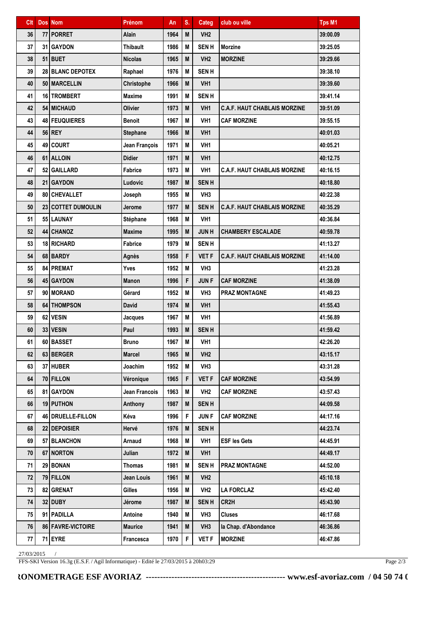| Clt | <b>Dos</b> Nom      | Prénom               | An   | S. | Categ           | club ou ville                       | <b>Tps M1</b> |
|-----|---------------------|----------------------|------|----|-----------------|-------------------------------------|---------------|
| 36  | 77 PORRET           | Alain                | 1964 | M  | VH <sub>2</sub> |                                     | 39:00.09      |
| 37  | 31 GAYDON           | <b>Thibault</b>      | 1986 | М  | <b>SENH</b>     | <b>Morzine</b>                      | 39:25.05      |
| 38  | 51 BUET             | <b>Nicolas</b>       | 1965 | M  | VH <sub>2</sub> | <b>MORZINE</b>                      | 39:29.66      |
| 39  | 28 BLANC DEPOTEX    | Raphael              | 1976 | M  | <b>SEN H</b>    |                                     | 39:38.10      |
| 40  | 50 MARCELLIN        | Christophe           | 1966 | M  | VH <sub>1</sub> |                                     | 39:39.60      |
| 41  | 16 TROMBERT         | <b>Maxime</b>        | 1991 | M  | <b>SENH</b>     |                                     | 39:41.14      |
| 42  | 54 MICHAUD          | <b>Olivier</b>       | 1973 | M  | VH <sub>1</sub> | <b>C.A.F. HAUT CHABLAIS MORZINE</b> | 39:51.09      |
| 43  | 48   FEUQUIERES     | <b>Benoit</b>        | 1967 | M  | VH <sub>1</sub> | <b>CAF MORZINE</b>                  | 39:55.15      |
| 44  | 56 REY              | <b>Stephane</b>      | 1966 | M  | VH <sub>1</sub> |                                     | 40:01.03      |
| 45  | 49 COURT            | Jean François        | 1971 | M  | VH <sub>1</sub> |                                     | 40:05.21      |
| 46  | 61 ALLOIN           | <b>Didier</b>        | 1971 | M  | VH <sub>1</sub> |                                     | 40:12.75      |
| 47  | 52 GAILLARD         | Fabrice              | 1973 | M  | VH <sub>1</sub> | <b>C.A.F. HAUT CHABLAIS MORZINE</b> | 40:16.15      |
| 48  | 21 GAYDON           | Ludovic              | 1987 | M  | <b>SENH</b>     |                                     | 40:18.80      |
| 49  | 80 CHEVALLET        | Joseph               | 1955 | M  | VH <sub>3</sub> |                                     | 40:22.38      |
| 50  | 23 COTTET DUMOULIN  | Jerome               | 1977 | M  | <b>SENH</b>     | <b>C.A.F. HAUT CHABLAIS MORZINE</b> | 40:35.29      |
| 51  | 55 LAUNAY           | Stéphane             | 1968 | M  | VH <sub>1</sub> |                                     | 40:36.84      |
| 52  | <b>44 CHANOZ</b>    | <b>Maxime</b>        | 1995 | M  | <b>JUNH</b>     | <b>CHAMBERY ESCALADE</b>            | 40:59.78      |
| 53  | 18 RICHARD          | Fabrice              | 1979 | M  | <b>SENH</b>     |                                     | 41:13.27      |
| 54  | 68 BARDY            | Agnès                | 1958 | F  | <b>VET F</b>    | <b>C.A.F. HAUT CHABLAIS MORZINE</b> | 41:14.00      |
| 55  | 84 PREMAT           | Yves                 | 1952 | M  | VH <sub>3</sub> |                                     | 41:23.28      |
| 56  | 45 GAYDON           | <b>Manon</b>         | 1996 | F  | <b>JUNF</b>     | <b>CAF MORZINE</b>                  | 41:38.09      |
| 57  | 90   MORAND         | Gérard               | 1952 | M  | VH3             | <b>PRAZ MONTAGNE</b>                | 41:49.23      |
| 58  | 64 THOMPSON         | <b>David</b>         | 1974 | M  | VH <sub>1</sub> |                                     | 41:55.43      |
| 59  | 62 VESIN            | Jacques              | 1967 | M  | VH <sub>1</sub> |                                     | 41:56.89      |
| 60  | 33 VESIN            | Paul                 | 1993 | M  | <b>SENH</b>     |                                     | 41:59.42      |
| 61  | 60 BASSET           | <b>Bruno</b>         | 1967 | М  | VH <sub>1</sub> |                                     | 42:26.20      |
| 62  | 63 BERGER           | <b>Marcel</b>        | 1965 | M  | VH <sub>2</sub> |                                     | 43:15.17      |
| 63  | 37 HUBER            | Joachim              | 1952 | Μ  | VH <sub>3</sub> |                                     | 43:31.28      |
| 64  | 70 FILLON           | Véronique            | 1965 | F  | <b>VET F</b>    | <b>CAF MORZINE</b>                  | 43:54.99      |
| 65  | 81 GAYDON           | <b>Jean Francois</b> | 1963 | Μ  | VH <sub>2</sub> | <b>CAF MORZINE</b>                  | 43:57.43      |
| 66  | 19 PUTHON           | Anthony              | 1987 | M  | <b>SENH</b>     |                                     | 44:09.58      |
| 67  | 46 DRUELLE-FILLON   | Kéva                 | 1996 | F  | <b>JUNF</b>     | <b>CAF MORZINE</b>                  | 44:17.16      |
| 68  | 22 DEPOISIER        | Hervé                | 1976 | M  | <b>SENH</b>     |                                     | 44:23.74      |
| 69  | 57 BLANCHON         | Arnaud               | 1968 | M  | VH1             | <b>ESF les Gets</b>                 | 44:45.91      |
| 70  | 67 NORTON           | Julian               | 1972 | M  | VH <sub>1</sub> |                                     | 44:49.17      |
| 71  | 29 BONAN            | <b>Thomas</b>        | 1981 | M  | <b>SENH</b>     | <b>PRAZ MONTAGNE</b>                | 44:52.00      |
| 72  | 79 FILLON           | Jean Louis           | 1961 | M  | VH <sub>2</sub> |                                     | 45:10.18      |
| 73  | 82 GRENAT           | Gilles               | 1956 | M  | VH <sub>2</sub> | <b>LA FORCLAZ</b>                   | 45:42.40      |
| 74  | $32$ DUBY           | Jérome               | 1987 | M  | <b>SENH</b>     | CR2H                                | 45:43.90      |
| 75  | 91   PADILLA        | Antoine              | 1940 | M  | VH <sub>3</sub> | <b>Cluses</b>                       | 46:17.68      |
| 76  | 86   FAVRE-VICTOIRE | <b>Maurice</b>       | 1941 | M  | VH <sub>3</sub> | la Chap. d'Abondance                | 46:36.86      |
| 77  | 71 EYRE             | Francesca            | 1970 | F  | <b>VET F</b>    | <b>MORZINE</b>                      | 46:47.86      |

27/03/2015 /

FFS-SKI Version 16.3g (E.S.F. / Agil Informatique) - Edité le 27/03/2015 à 20h03:29

Page 2/3